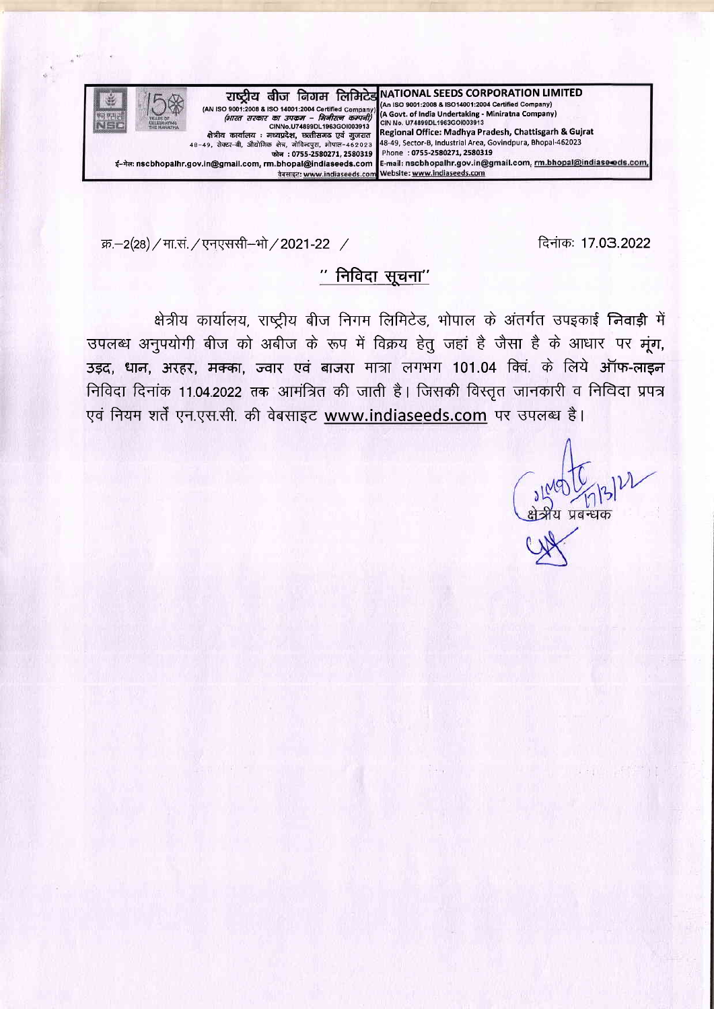

क्र.-2(28) / मा.सं. / एनएससी-भो / 2021-22 /

दिनांकः 17.03.2022

# " निविदा सूचना"

क्षेत्रीय कार्यालय, राष्ट्रीय बीज निगम लिमिटेड, भोपाल के अंतर्गत उपइकाई निवाड़ी में उपलब्ध अनुपयोगी बीज को अबीज के रूप में विक्रय हेतु जहां है जैसा है के आधार पर मूंग, उड़द, धान, अरहर, मक्का, ज्वार एवं बाजरा मात्रा लगभग 101.04 क्विं. के लिये ऑफ-लाइन निविदा दिनांक 11.04.2022 तक आमंत्रित की जाती है। जिसकी विस्तृत जानकारी व निविदा प्रपत्र एवं नियम शर्तें एन.एस.सी. की वेबसाइट www.indiaseeds.com पर उपलब्ध है।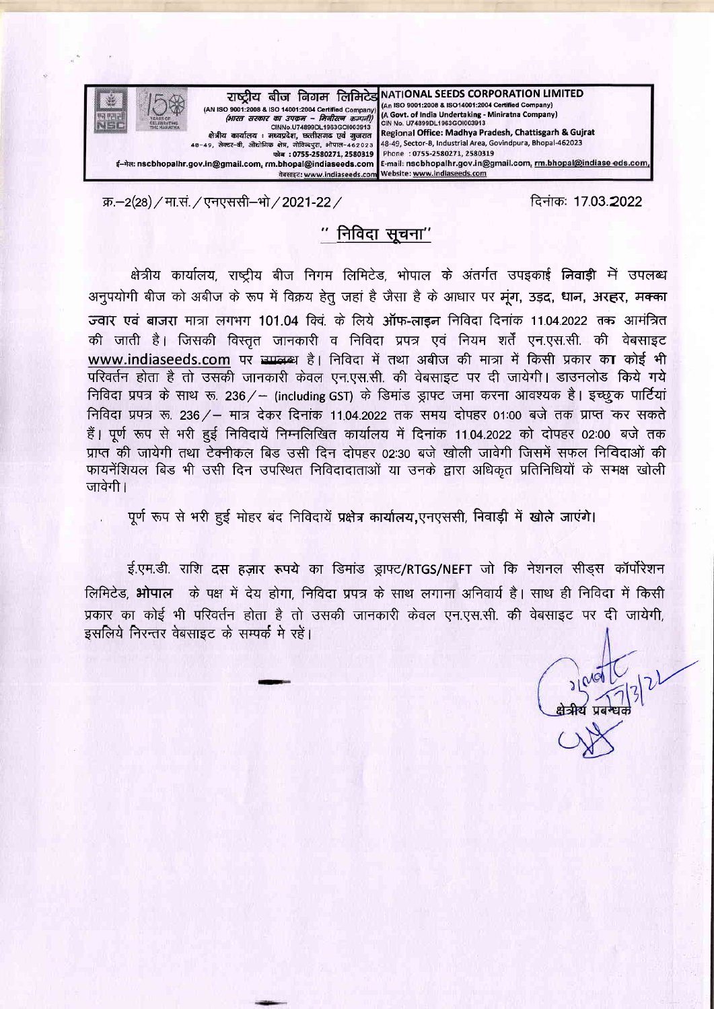

क्र.-2(28) / मा.सं. / एनएससी-भो / 2021-22 /

दिनांक: 17.03.2022

# $"$  निविदा सुचना $"$

क्षेत्रीय कार्यालय, राष्ट्रीय बीज निगम लिमिटेड, भोपाल के अंतर्गत उपइकाई निवाड़ी में उपलब्ध अनुपयोगी बीज को अबीज के रूप में विक्रय हेतु जहां है जैसा है के आधार पर मंग, उड़द, धान, अरहर, मक्का ज्वार एवं बाजरा मात्रा लगभग 101.04 क्वि. के लिये ऑफ-लाइन निविदा दिनांक 11.04.2022 तक आमंत्रित की जाती है। जिसकी विस्तृत जानकारी व निविदा प्रपत्र एवं नियम शर्तें एन.एस.सी. की वेबसाइट www.indiaseeds.com पर स्मालका है। निविदा में तथा अबीज की मात्रा में किसी प्रकार का कोई भी परिवर्तन होता है तो उसकी जानकारी केवल एन.एस.सी. की वेबसाइट पर दी जायेगी। डाउनलोड किये गये निविदा प्रपत्र के साथ रू. 236/ - (including GST) के डिमांड ड्राफ्ट जमा करना आवश्यक है। इच्छूक पार्टियां निविदा प्रपत्र रू. 236 / – मात्र देकर दिनांक 11.04.2022 तक समय दोपहर 01:00 बजे तक प्राप्त कर सकते हैं। पूर्ण रूप से भरी हुई निविदायें निम्नलिखित कार्यालय में दिनांक 11.04.2022 को दोपहर 02:00 बजे तक प्राप्त की जायेगी तथा टेक्नीकल बिड उसी दिन दोपहर 02:30 बजे खोली जावेगी जिसमें सफल निविदाओं की फायनेंशियल बिड भी उसी दिन उपस्थित निविदादाताओं या उनके द्वारा अधिकृत प्रतिनिधियों के समक्ष खोली जावेगी ।

पूर्ण रूप से भरी हुई मोहर बंद निविदायें प्रक्षेत्र कार्यालय,एनएससी, निवाड़ी में खोले जाएंगे।

ई.एम.डी. राशि दस हज़ार रूपये का डिमांड ड्राफ्ट/RTGS/NEFT जो कि नेशनल सीड़स कॉर्पोरेशन लिमिटेड, भोपाल के पक्ष में देय होगा. निविदा प्रपत्र के साथ लगाना अनिवार्य है। साथ ही निविदा में किसी प्रकार का कोई भी परिवर्तन होता है तो उसकी जानकारी केवल एन.एस.सी. की वेबसाइट पर दी जायेगी. इसलिये निरन्तर वेबसाइट के सम्पर्क मे रहें।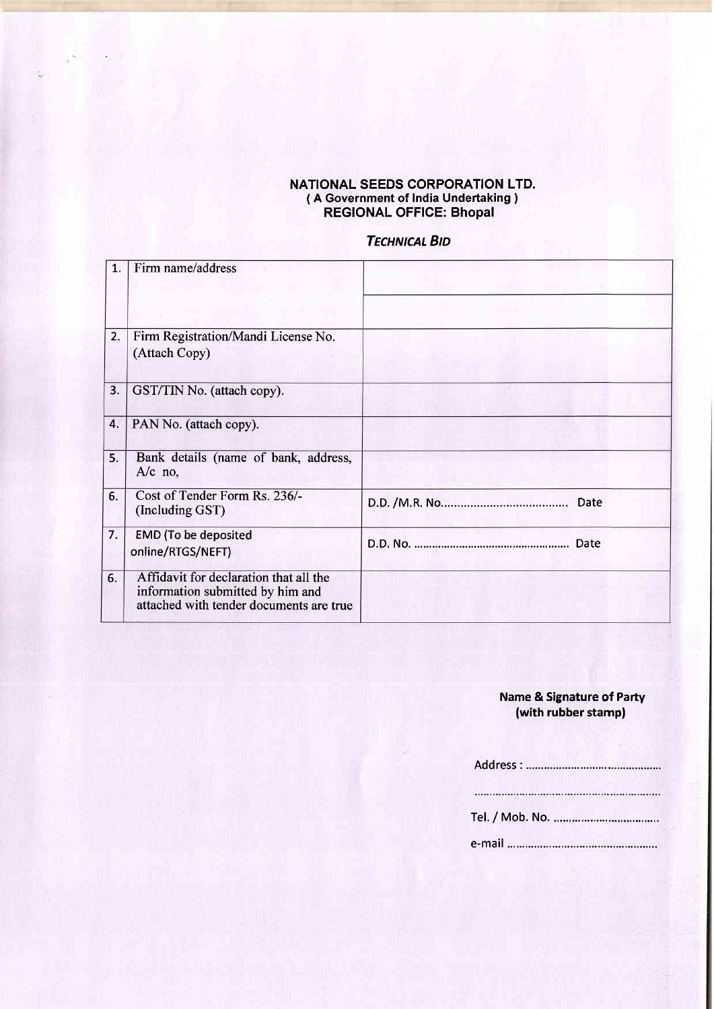#### NATIONAL SEEDS CORPORATION LTD. ( A Government of India Undertaking ) REGIONAL OFFICE: Bhopal

# **TECHNICAL BID**

| 1. | Firm name/address                                                                                                     |      |
|----|-----------------------------------------------------------------------------------------------------------------------|------|
|    |                                                                                                                       |      |
| 2. | Firm Registration/Mandi License No.<br>(Attach Copy)                                                                  |      |
| 3. | GST/TIN No. (attach copy).                                                                                            |      |
| 4. | PAN No. (attach copy).                                                                                                |      |
| 5. | Bank details (name of bank, address,<br>$A/c$ no,                                                                     |      |
| 6. | Cost of Tender Form Rs. 236/-<br>(Including GST)                                                                      | Date |
| 7. | <b>EMD</b> (To be deposited<br>online/RTGS/NEFT)                                                                      |      |
| 6. | Affidavit for declaration that all the<br>information submitted by him and<br>attached with tender documents are true |      |

### Name & Signature of Party (with rubber stamp)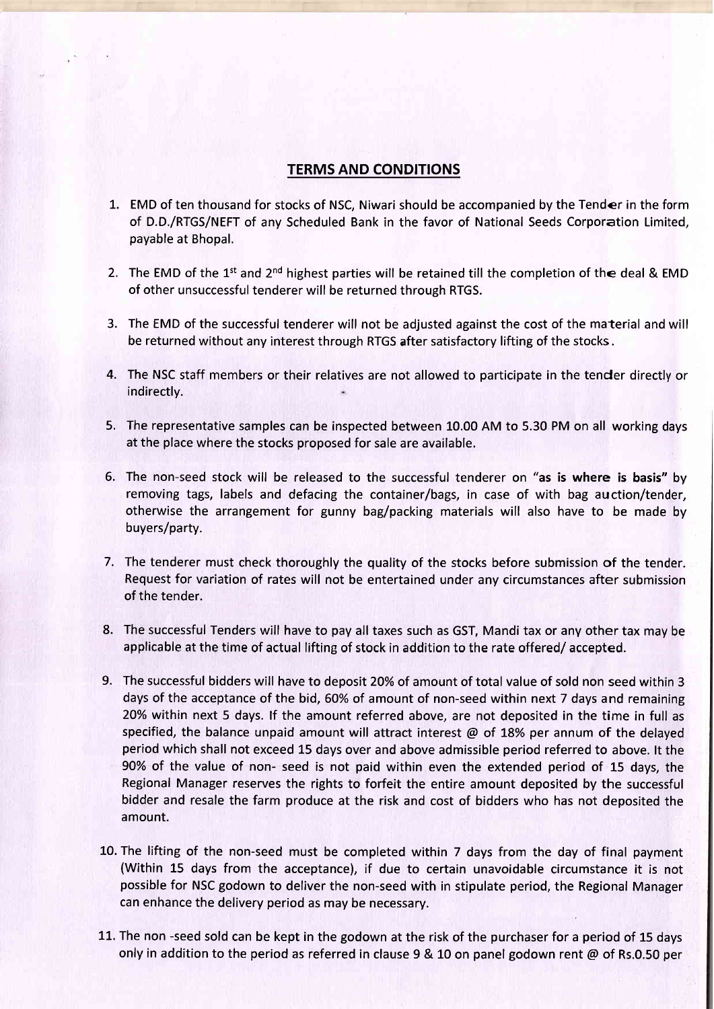### TERMS AND CONDITIONS

- 1. EMD of ten thousand for stocks of NSC, Niwari should be accompanied by the Tender in the form of D.D./RTGS/NEFT of any Scheduled Bank in the favor of National Seeds Corporation Limited payable at Bhopal.
- 2. The EMD of the 1<sup>st</sup> and 2<sup>nd</sup> highest parties will be retained till the completion of the deal & EMD of other unsuccessful tenderer will be returned through RTGS.
- 3. The EMD of the successful tenderer will not be adjusted against the cost of the material and will be returned without any interest through RTGS after satisfactory lifting of the stocks.
- 4. The NSC staff members or their relatives are not allowed to participate in the tender directly or indirectly.
- 5. The representative samples can be inspected between 10.00 AM to 5.30 PM on all working days at the place where the stocks proposed for sale are available.
- 6. The non-seed stock will be released to the successful tenderer on "as is where is basis" by removing tags, labels and defacing the container/bags, in case of with bag auction/tender, otherwise the arrangement for gunny bag/packing materials will also have to be made by buyers/party.
- 7. The tenderer must check thoroughly the quality of the stocks before submission of the tender. Request for variation of rates will not be entertained under any circumstances after submission of the tender.
- The successful Tenders will have to pay all taxes such as GST, Mandi tax or any other tax may be 8. applicable at the time of actual lifting of stock in addition to the rate offered/ accepted.
- The successful bidders will have to deposit 20% of amount of total value of sold non seed within 3 9.days of the acceptance of the bid, 60% of amount of non-seed within next 7 days and remaining 20% within next 5 days. lf the amount referred above, are not deposited in the time in full as specified, the balance unpaid amount will attract interest  $\omega$  of 18% per annum of the delayed period which shall not exceed 15 days over and above admissible period referred to above. lt the 90% of the value of non- seed is not paid within even the extended period of 15 days, the Regional Manager reserves the rights to forfeit the entire amount deposited by the successful bidder and resale the farm produce at the risk and cost of bidders who has not deposited the amount.
- L0. The lifting of the non-seed must be completed within 7 days from the day of final payment (Within 15 days from the acceptance), if due to certain unavoidable circumstance it is not possible for NSC godown to deliver the non-seed with in stipulate period, the Regional Manager can enhance the delivery period as may be necessary.
- 11. The non -seed sold can be kept in the godown at the risk of the purchaser for a period of 15 days only in addition to the period as referred in clause 9 & L0 on panel godown rent @ of Rs.0.50 per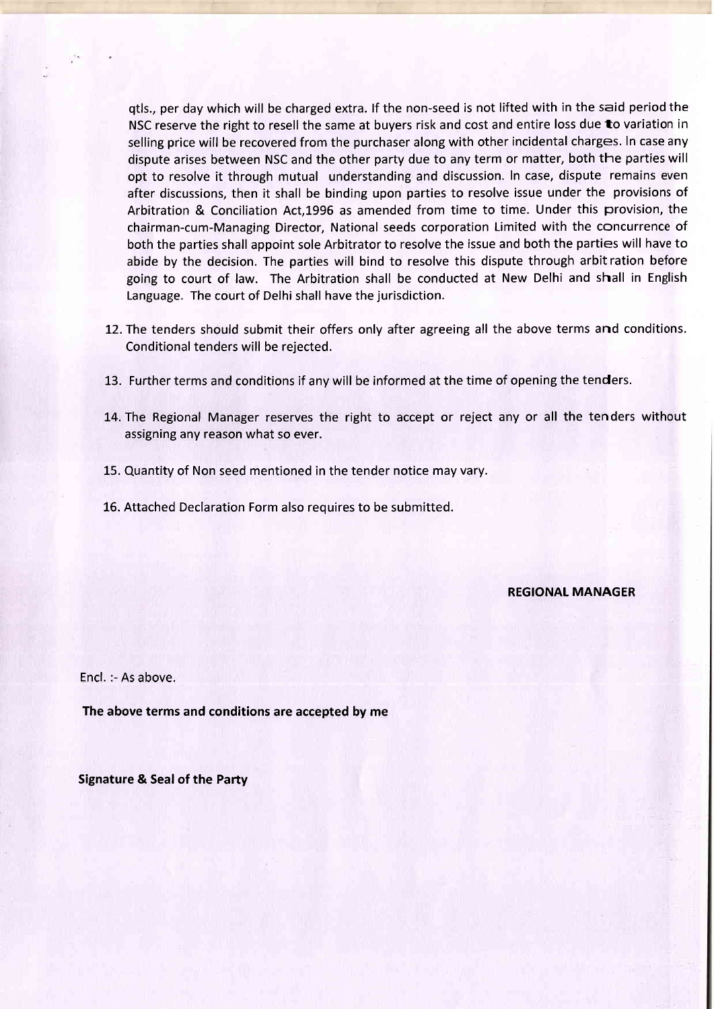qtls., per day which will be charged extra. lf the non-seed is not lifted with in the said period the NSC reserve the right to resell the same at buyers risk and cost and entire loss due to variation in selling price will be recovered from the purchaser along with other incidental charges. In case any dispute arises between NSC and the other party due to any term or matter, both the parties will opt to resolve it through mutual understanding and discussion. In case, dispute remains even after discussions, then it shall be binding upon parties to resolve issue under the provisions of Arbitration & Conciliation Act,1996 as amended from time to time. Under this provision, the chairman-cum-Managing Director, National seeds corporation Limited with the concurrence of both the parties shall appoint sole Arbitrator to resolve the issue and both the parties will have to abide by the decision. The parties will bind to resolve this dispute through arbit ration before going to court of law. The Arbitration shall be conducted at New Delhi and shall in English Language. The court of Delhi shall have the jurisdiction.

- 12. The tenders should submit their offers only after agreeing all the above terms and conditions. Conditional tenders will be rejected.
- 13. Further terms and conditions if any will be informed at the time of opening the tenders.
- 14. The Regional Manager reserves the right to accept or reject any or all the tenders without assigning any reason what so ever.
- 15. Quantity of Non seed mentioned in the tender notice may vary.
- 16. Attached Declaration Form also requires to be submitted.

REGIONAI MANAGER

Encl. :- As above.

The above terms and conditions are accepted by me

Signature & Seal of the Party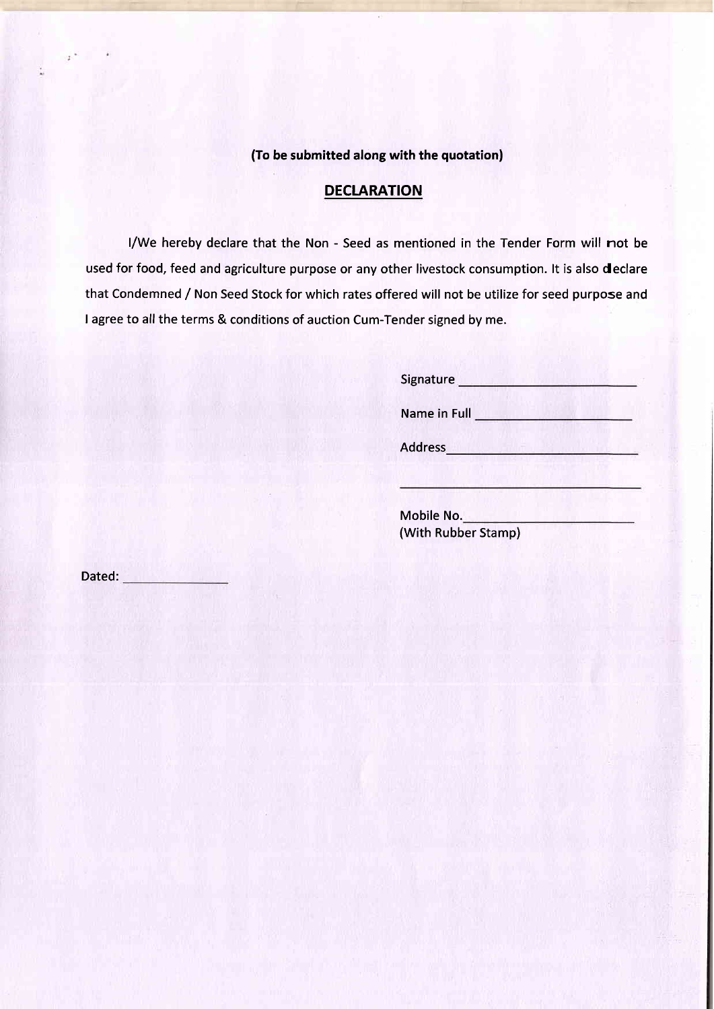(To be submitted along with the quotation)

## **DECLARATION**

l/We hereby declare that the Non - Seed as mentioned in the Tender Form will not be used for food, feed and agriculture purpose or any other livestock consumption. lt is also declare that Condemned / Non Seed Stock for which rates offered will not be utilize for seed purpose and I agree to all the terms & conditions of auction Cum-Tender signed by me.

Signature **Signature Signature Signature** 

Name in Full **Name in Full** 

Address **Market Band and School and School** 

Mobile No. (With Rubber Stamp)

Dated: